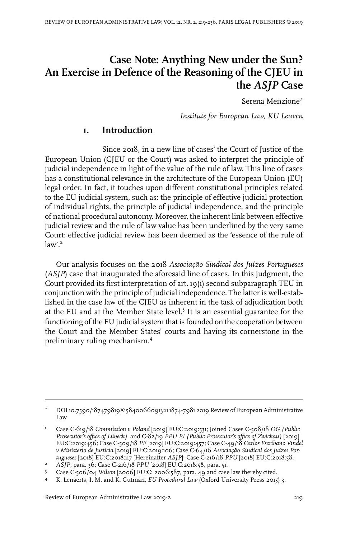# **Case Note: Anything New under the Sun? An Exercise in Defence of the Reasoning of the CJEU in the** *ASJP* **Case**

Serena Menzione\*

*Institute for European Law, KU Leuven*

## **1. Introduction**

Since 2018, in a new line of cases' the Court of Justice of the European Union (CJEU or the Court) was asked to interpret the principle of judicial independence in light of the value of the rule of law. This line of cases has a constitutional relevance in the architecture of the European Union (EU) legal order. In fact, it touches upon different constitutional principles related to the EU judicial system, such as: the principle of effective judicial protection of individual rights, the principle of judicial independence, and the principle of national procedural autonomy. Moreover, the inherent link between effective judicial review and the rule of law value has been underlined by the very same Court: effective judicial review has been deemed as the 'essence of the rule of  $law'$ <sup>2</sup>

Our analysis focuses on the 2018 *Associação Sindical dos Juízes Portugueses* (*ASJP*) case that inaugurated the aforesaid line of cases. In this judgment, the Court provided its first interpretation of art. 19(1) second subparagraph TEU in conjunction with the principle of judicial independence. The latter is well-established in the case law of the CJEU as inherent in the task of adjudication both at the EU and at the Member State level.<sup>3</sup> It is an essential guarantee for the functioning of the EU judicial system that is founded on the cooperation between the Court and the Member States' courts and having its cornerstone in the preliminary ruling mechanism.<sup>4</sup>

Review of European Administrative Law 2019-2 219

DOI10.7590/187479819X15840066091321 1874-7981 2019 Review of European Administrative Law \*

Case C-619/18 *Commission v Poland* [2019] EU:C:2019:531; Joined Cases C-508/18 *OG (Public Prosecutor's office of Lübeck)* and C-82/19 *PPU PI (Public Prosecutor's office of Zwickau)* [2019] 1 EU:C:2019:456; Case C-509/18 *PF* [2019] EU:C:2019:457; Case C-49/18 *Carlos Escribano Vindel v Ministerio de Justicia* [2019] EU:C:2019:106; Case C-64/16 *Associação Sindical dos Juízes Portugueses* [2018] EU:C:2018:117 [Hereinafter *ASJP*]; Case C-216/18 *PPU* [2018] EU:C:2018:58.

*ASJP,* para. 36; Case C-216/18 *PPU* [2018] EU:C:2018:58, para. 51. <sup>2</sup>

Case C-506/04 *Wilson* [2006] EU:C: 2006:587, para. 49 and case law thereby cited. <sup>3</sup>

K. Lenaerts,I. M. and K. Gutman, *EU Procedural Law* (Oxford University Press 2015) 3. <sup>4</sup>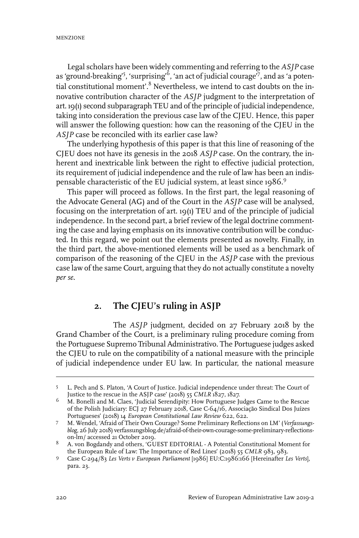Legal scholars have been widely commenting and referring to the *ASJP* case as 'ground-breaking'<sup>5</sup>, 'surprising' $^6$ , 'an act of judicial courage'<sup>7</sup>, and as 'a potential constitutional moment'.<sup>8</sup> Nevertheless, we intend to cast doubts on the innovative contribution character of the *ASJP* judgment to the interpretation of art. 19(1) second subparagraph TEU and of the principle of judicial independence, taking into consideration the previous case law of the CJEU. Hence, this paper will answer the following question: how can the reasoning of the CJEU in the *ASJP* case be reconciled with its earlier case law?

The underlying hypothesis of this paper is that this line of reasoning of the CJEU does not have its genesis in the 2018 *ASJP* case. On the contrary, the inherent and inextricable link between the right to effective judicial protection, its requirement of judicial independence and the rule of law has been an indispensable characteristic of the EU judicial system, at least since 1986.<sup>9</sup>

This paper will proceed as follows. In the first part, the legal reasoning of the Advocate General (AG) and of the Court in the *ASJP* case will be analysed, focusing on the interpretation of art. 19(1) TEU and of the principle of judicial independence. In the second part, a brief review of the legal doctrine commenting the case and laying emphasis on its innovative contribution will be conducted. In this regard, we point out the elements presented as novelty. Finally, in the third part, the above-mentioned elements will be used as a benchmark of comparison of the reasoning of the CJEU in the *ASJP* case with the previous case law of the same Court, arguing that they do not actually constitute a novelty *per se*.

# **2. The CJEU's ruling in ASJP**

The *ASJP* judgment, decided on 27 February 2018 by the Grand Chamber of the Court, is a preliminary ruling procedure coming from the Portuguese Supremo Tribunal Administrativo. The Portuguese judges asked the CJEU to rule on the compatibility of a national measure with the principle of judicial independence under EU law. In particular, the national measure

L. Pech and S. Platon, 'A Court of Justice. Judicial independence under threat: The Court of Justice to the rescue in the ASJP case' (2018) 55 *CMLR* 1827, 1827. 5

M. Bonelli and M. Claes, 'Judicial Serendipity: How Portuguese Judges Came to the Rescue of the Polish Judiciary: ECJ 27 February 2018, Case C-64/16, Associação Sindical Dos Juízes Portugueses' (2018) 14 *European Constitutional Law Review* 622, 622. 6

M. Wendel, 'Afraid of Their Own Courage? Some Preliminary Reflections on LM' (*Verfassungsblog,* 26 July 2018) verfassungsblog.de/afraid-of-their-own-courage-some-preliminary-reflectionson-lm/ accessed 21 October 2019. 7

<sup>8</sup> A. von Bogdandy and others, 'GUEST EDITORIAL - A Potential Constitutional Moment for the European Rule of Law: The Importance of Red Lines' (2018) 55 *CMLR* 983, 983.

Case C-294/83 *Les Verts v European Parliament* [1986] EU:C:1986:166 [Hereinafter *Les Verts*], 9 para. 23.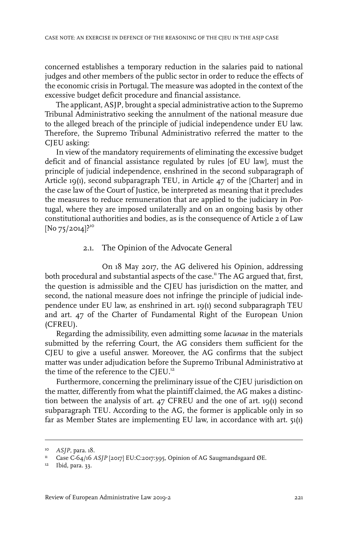concerned establishes a temporary reduction in the salaries paid to national judges and other members of the public sector in order to reduce the effects of the economic crisis in Portugal. The measure was adopted in the context of the excessive budget deficit procedure and financial assistance.

The applicant, ASJP, brought a special administrative action to the Supremo Tribunal Administrativo seeking the annulment of the national measure due to the alleged breach of the principle of judicial independence under EU law. Therefore, the Supremo Tribunal Administrativo referred the matter to the CJEU asking:

In view of the mandatory requirements of eliminating the excessive budget deficit and of financial assistance regulated by rules [of EU law], must the principle of judicial independence, enshrined in the second subparagraph of Article 19(1), second subparagraph TEU, in Article 47 of the [Charter] and in the case law of the Court of Justice, be interpreted as meaning that it precludes the measures to reduce remuneration that are applied to the judiciary in Portugal, where they are imposed unilaterally and on an ongoing basis by other constitutional authorities and bodies, as is the consequence of Article 2 of Law  $[No 75/2014]$ <sup>210</sup>

#### 2.1. The Opinion of the Advocate General

On 18 May 2017, the AG delivered his Opinion, addressing both procedural and substantial aspects of the case.<sup>11</sup> The AG argued that, first, the question is admissible and the CJEU has jurisdiction on the matter, and second, the national measure does not infringe the principle of judicial independence under EU law, as enshrined in art. 19(1) second subparagraph TEU and art. 47 of the Charter of Fundamental Right of the European Union (CFREU).

Regarding the admissibility, even admitting some *lacunae* in the materials submitted by the referring Court, the AG considers them sufficient for the CJEU to give a useful answer. Moreover, the AG confirms that the subject matter was under adjudication before the Supremo Tribunal Administrativo at the time of the reference to the CJEU.<sup>12</sup>

Furthermore, concerning the preliminary issue of the CJEU jurisdiction on the matter, differently from what the plaintiff claimed, the AG makes a distinction between the analysis of art. 47 CFREU and the one of art. 19(1) second subparagraph TEU. According to the AG, the former is applicable only in so far as Member States are implementing EU law, in accordance with art. 51(1)

<sup>&</sup>lt;sup>10</sup> ASJP, para. 18.

<sup>&</sup>lt;sup>11</sup> Case C-64/16 *ASJP* [2017] EU:C:2017:395, Opinion of AG Saugmandsgaard ØE.

<sup>12</sup> Ibid, para. 33.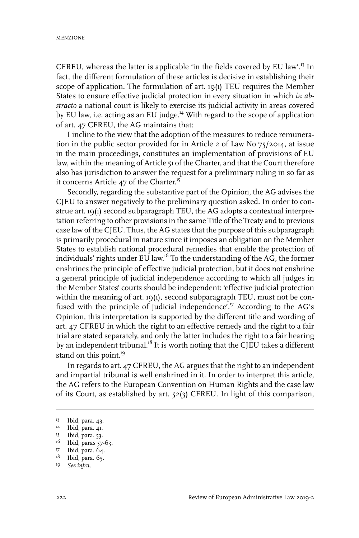CFREU, whereas the latter is applicable 'in the fields covered by EU law'.<sup>13</sup> In fact, the different formulation of these articles is decisive in establishing their scope of application. The formulation of art. 19(1) TEU requires the Member States to ensure effective judicial protection in every situation in which *in abstracto* a national court is likely to exercise its judicial activity in areas covered by EU law, i.e. acting as an EU judge.<sup>14</sup> With regard to the scope of application of art. 47 CFREU, the AG maintains that:

I incline to the view that the adoption of the measures to reduce remuneration in the public sector provided for in Article 2 of Law No 75/2014, at issue in the main proceedings, constitutes an implementation of provisions of EU law, within the meaning of Article 51 of the Charter, and that the Court therefore also has jurisdiction to answer the request for a preliminary ruling in so far as it concerns Article 47 of the Charter.<sup>15</sup>

Secondly, regarding the substantive part of the Opinion, the AG advises the CJEU to answer negatively to the preliminary question asked. In order to construe art. 19(1) second subparagraph TEU, the AG adopts a contextual interpretation referring to other provisions in the same Title of the Treaty and to previous case law of the CJEU. Thus, the AG states that the purpose of this subparagraph is primarily procedural in nature since it imposes an obligation on the Member States to establish national procedural remedies that enable the protection of individuals' rights under EU law.<sup>16</sup> To the understanding of the AG, the former enshrines the principle of effective judicial protection, but it does not enshrine a general principle of judicial independence according to which all judges in the Member States' courts should be independent: 'effective judicial protection within the meaning of art. 19(1), second subparagraph TEU, must not be confused with the principle of judicial independence'.<sup>17</sup> According to the AG's Opinion, this interpretation is supported by the different title and wording of art. 47 CFREU in which the right to an effective remedy and the right to a fair trial are stated separately, and only the latter includes the right to a fair hearing by an independent tribunal.<sup>18</sup> It is worth noting that the CJEU takes a different stand on this point.<sup>19</sup>

In regards to art. 47 CFREU, the AG argues that the right to an independent and impartial tribunal is well enshrined in it. In order to interpret this article, the AG refers to the European Convention on Human Rights and the case law of its Court, as established by art. 52(3) CFREU. In light of this comparison,

<sup>&</sup>lt;sup>13</sup> Ibid, para. 43.

<sup>&</sup>lt;sup>14</sup> Ibid, para. 41.

<sup>&</sup>lt;sup>15</sup> Ibid, para. 53.

<sup>&</sup>lt;sup>16</sup> Ibid, paras 57-63.

<sup>&</sup>lt;sup>17</sup> Ibid, para. 64.

<sup>&</sup>lt;sup>18</sup> Ibid, para. 65.

*See infra*. 19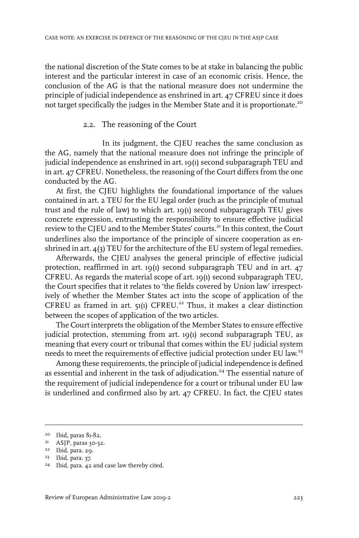the national discretion of the State comes to be at stake in balancing the public interest and the particular interest in case of an economic crisis. Hence, the conclusion of the AG is that the national measure does not undermine the principle of judicial independence as enshrined in art. 47 CFREU since it does not target specifically the judges in the Member State and it is proportionate.<sup>20</sup>

#### 2.2. The reasoning of the Court

In its judgment, the CJEU reaches the same conclusion as the AG, namely that the national measure does not infringe the principle of judicial independence as enshrined in art. 19(1) second subparagraph TEU and in art. 47 CFREU. Nonetheless, the reasoning of the Court differs from the one conducted by the AG.

At first, the CJEU highlights the foundational importance of the values contained in art. 2 TEU for the EU legal order (such as the principle of mutual trust and the rule of law) to which art. 19(1) second subparagraph TEU gives concrete expression, entrusting the responsibility to ensure effective judicial review to the CJEU and to the Member States' courts.<sup>21</sup> In this context, the Court underlines also the importance of the principle of sincere cooperation as enshrined in art. 4(3) TEU for the architecture of the EU system of legal remedies.

Afterwards, the CJEU analyses the general principle of effective judicial protection, reaffirmed in art.  $19(1)$  second subparagraph TEU and in art.  $47$ CFREU. As regards the material scope of art.  $19(1)$  second subparagraph TEU, the Court specifies that it relates to 'the fields covered by Union law' irrespectively of whether the Member States act into the scope of application of the CFREU as framed in art.  $51(1)$  CFREU.<sup>22</sup> Thus, it makes a clear distinction between the scopes of application of the two articles.

The Court interprets the obligation of the Member States to ensure effective judicial protection, stemming from art. 19(1) second subparagraph TEU, as meaning that every court or tribunal that comes within the EU judicial system needs to meet the requirements of effective judicial protection under EU law.<sup>23</sup>

Among these requirements, the principle of judicial independence is defined as essential and inherent in the task of adjudication.<sup>24</sup> The essential nature of the requirement of judicial independence for a court or tribunal under EU law is underlined and confirmed also by art. 47 CFREU. In fact, the CJEU states

 $20$  Ibid, paras  $81-82$ .

<sup>&</sup>lt;sup>21</sup> ASJP, paras 30-32.

 $22$  Ibid, para. 29.

<sup>&</sup>lt;sup>23</sup> Ibid, para. 37.

<sup>&</sup>lt;sup>24</sup> Ibid, para. 42 and case law thereby cited.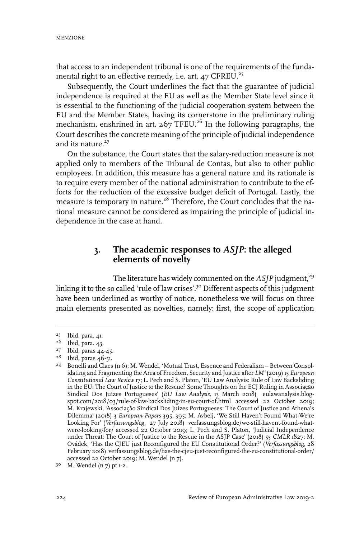that access to an independent tribunal is one of the requirements of the fundamental right to an effective remedy, i.e. art.  $47$  CFREU.<sup>25</sup>

Subsequently, the Court underlines the fact that the guarantee of judicial independence is required at the EU as well as the Member State level since it is essential to the functioning of the judicial cooperation system between the EU and the Member States, having its cornerstone in the preliminary ruling mechanism, enshrined in art.  $267$  TFEU.<sup>26</sup> In the following paragraphs, the Court describes the concrete meaning of the principle of judicial independence and its nature. $27$ 

On the substance, the Court states that the salary-reduction measure is not applied only to members of the Tribunal de Contas, but also to other public employees. In addition, this measure has a general nature and its rationale is to require every member of the national administration to contribute to the efforts for the reduction of the excessive budget deficit of Portugal. Lastly, the measure is temporary in nature.<sup>28</sup> Therefore, the Court concludes that the national measure cannot be considered as impairing the principle of judicial independence in the case at hand.

# **3. The academic responses to** *ASJP***: the alleged elements of novelty**

The literature has widely commented on the *ASIP* judgment,<sup>29</sup> linking it to the so called 'rule of law crises'.<sup>30</sup> Different aspects of this judgment have been underlined as worthy of notice, nonetheless we will focus on three main elements presented as novelties, namely: first, the scope of application

<sup>&</sup>lt;sup>25</sup> Ibid, para. 41.

 $26$  Ibid, para. 43.

<sup>&</sup>lt;sup>27</sup> Ibid, paras 44-45.

<sup>&</sup>lt;sup>28</sup> Ibid, paras 46-51.

<sup>&</sup>lt;sup>29</sup> Bonelli and Claes (n  $6$ ); M. Wendel, 'Mutual Trust, Essence and Federalism – Between Consolidating and Fragmenting the Area of Freedom, Security and Justice after *LM'* (2019) 15 *European Constitutional Law Review* 17; L. Pech and S. Platon, 'EU Law Analysis: Rule of Law Backsliding in the EU: The Court of Justice to the Rescue? Some Thoughts on the ECJ Ruling in Associação Sindical Dos Juízes Portugueses' (*EU Law Analysis,* 13 March 2018) eulawanalysis.blogspot.com/2018/03/rule-of-law-backsliding-in-eu-court-of.html accessed 22 October 2019; M. Krajewski, 'Associação Sindical Dos Juízes Portugueses: The Court of Justice and Athena's Dilemma' (2018) 3 *European Papers* 395, 395; M. Avbelj, 'We Still Haven't Found What We're Looking For' (*Verfassungsblog,* 27 July 2018) verfassungsblog.de/we-still-havent-found-whatwere-looking-for/ accessed 22 October 2019; L. Pech and S. Platon, 'Judicial Independence under Threat: The Court of Justice to the Rescue in the ASJP Case' (2018) 55 *CMLR* 1827; M. Ovádek, 'Has the CJEU just Reconfigured the EU Constitutional Order?' (*Verfassungsblog*, 28 February 2018) verfassungsblog.de/has-the-cjeu-just-reconfigured-the-eu-constitutional-order/ accessed 22 October 2019; M. Wendel (n 7).

<sup>30</sup> M. Wendel (n 7) pt 1-2.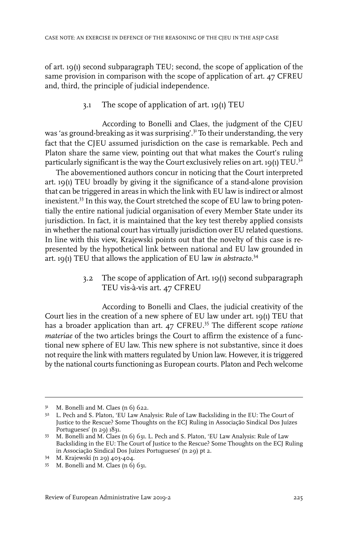of art. 19(1) second subparagraph TEU; second, the scope of application of the same provision in comparison with the scope of application of art. 47 CFREU and, third, the principle of judicial independence.

3.1 The scope of application of art. 19(1) TEU

According to Bonelli and Claes, the judgment of the CJEU was 'as ground-breaking as it was surprising'.<sup>31</sup> To their understanding, the very fact that the CJEU assumed jurisdiction on the case is remarkable. Pech and Platon share the same view, pointing out that what makes the Court's ruling particularly significant is the way the Court exclusively relies on art.  $19(1)$  TEU.<sup>32</sup>

The abovementioned authors concur in noticing that the Court interpreted art. 19(1) TEU broadly by giving it the significance of a stand-alone provision that can be triggered in areas in which the link with EU law is indirect or almost inexistent.<sup>33</sup> In this way, the Court stretched the scope of EU law to bring potentially the entire national judicial organisation of every Member State under its jurisdiction. In fact, it is maintained that the key test thereby applied consists in whether the national court has virtually jurisdiction over EU related questions. In line with this view, Krajewski points out that the novelty of this case is represented by the hypothetical link between national and EU law grounded in art. 19(1) TEU that allows the application of EU law *in abstracto*. 34

> 3.2 The scope of application of Art. 19(1) second subparagraph TEU vis-à-vis art. 47 CFREU

According to Bonelli and Claes, the judicial creativity of the Court lies in the creation of a new sphere of EU law under art. 19(1) TEU that has a broader application than art. 47 CFREU.<sup>35</sup> The different scope *ratione materiae* of the two articles brings the Court to affirm the existence of a functional new sphere of EU law. This new sphere is not substantive, since it does notrequire the link with matters regulated by Union law. However, it is triggered by the national courts functioning as European courts. Platon and Pech welcome

 $3<sup>1</sup>$  M. Bonelli and M. Claes (n 6) 622.

<sup>&</sup>lt;sup>32</sup> L. Pech and S. Platon, 'EU Law Analysis: Rule of Law Backsliding in the EU: The Court of Justice to the Rescue? Some Thoughts on the ECJ Ruling in Associação Sindical Dos Juízes Portugueses' (n 29) 1831.

M. Bonelli and M. Claes (n 6) 631. L. Pech and S. Platon, 'EU Law Analysis: Rule of Law 33 Backsliding in the EU: The Court of Justice to the Rescue? Some Thoughts on the ECJ Ruling in Associação Sindical Dos Juízes Portugueses' (n 29) pt 2.

M. Krajewski (n 29) 403-404. <sup>34</sup>

M. Bonelli and M. Claes (n 6) 631. <sup>35</sup>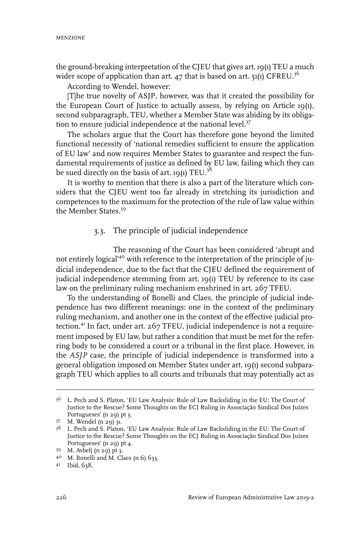the ground-breaking interpretation of the CJEU that gives art. 19(1) TEU a much wider scope of application than art. 47 that is based on art.  $51(1)$  CFREU.<sup>36</sup>

According to Wendel, however:

[T]he true novelty of ASJP, however, was that it created the possibility for the European Court of Justice to actually assess, by relying on Article 19(1), second subparagraph, TEU, whether a Member State was abiding by its obligation to ensure judicial independence at the national level.<sup>37</sup>

The scholars argue that the Court has therefore gone beyond the limited functional necessity of 'national remedies sufficient to ensure the application of EU law' and now requires Member States to guarantee and respect the fundamental requirements of justice as defined by EU law, failing which they can be sued directly on the basis of art. 19(1) TEU.<sup>38</sup>

It is worthy to mention that there is also a part of the literature which considers that the CJEU went too far already in stretching its jurisdiction and competences to the maximum for the protection of the rule of law value within the Member States.<sup>39</sup>

## 3.3. The principle of judicial independence

The reasoning of the Court has been considered 'abrupt and not entirely logical'<sup>40</sup> with reference to the interpretation of the principle of judicial independence, due to the fact that the CJEU defined the requirement of judicial independence stemming from art. 19(1) TEU by reference to its case law on the preliminary ruling mechanism enshrined in art. 267 TFEU.

To the understanding of Bonelli and Claes, the principle of judicial independence has two different meanings: one in the context of the preliminary ruling mechanism, and another one in the context of the effective judicial protection.<sup>41</sup> In fact, under art. 267 TFEU, judicial independence is not a requirement imposed by EU law, but rather a condition that must be met for the referring body to be considered a court or a tribunal in the first place. However, in the *ASJP* case, the principle of judicial independence is transformed into a general obligation imposed on Member States under art. 19(1) second subparagraph TEU which applies to all courts and tribunals that may potentially act as

<sup>&</sup>lt;sup>36</sup> L. Pech and S. Platon, 'EU Law Analysis: Rule of Law Backsliding in the EU: The Court of Justice to the Rescue? Some Thoughts on the ECJ Ruling in Associação Sindical Dos Juízes Portugueses' (n 29) pt 3.

<sup>37</sup> M. Wendel (n 29) 31.

<sup>&</sup>lt;sup>38</sup> L. Pech and S. Platon, 'EU Law Analysis: Rule of Law Backsliding in the EU: The Court of Justice to the Rescue? Some Thoughts on the ECJ Ruling in Associação Sindical Dos Juízes Portugueses' (n 29) pt 4.

<sup>39</sup> M. Avbelj (n 29) pt 3.

 $40$  M. Bonelli and M. Claes (n 6) 633.

<sup>41</sup> Ibid, 638.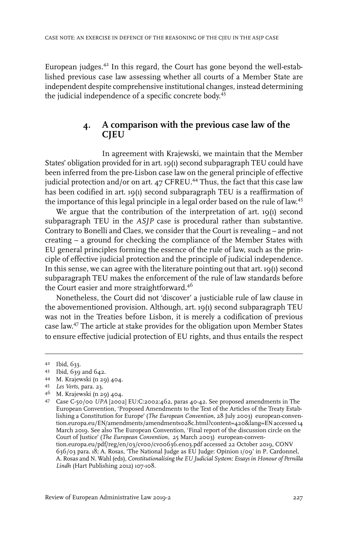European judges. $42$  In this regard, the Court has gone beyond the well-established previous case law assessing whether all courts of a Member State are independent despite comprehensive institutional changes, instead determining the judicial independence of a specific concrete body. 43

# **4. A comparison with the previous case law of the CJEU**

In agreement with Krajewski, we maintain that the Member States' obligation provided for in art. 19(1) second subparagraph TEU could have been inferred from the pre-Lisbon case law on the general principle of effective judicial protection and/or on art.  $47$  CFREU.<sup>44</sup> Thus, the fact that this case law has been codified in art. 19(1) second subparagraph TEU is a reaffirmation of the importance of this legal principle in a legal order based on the rule of law.<sup>45</sup>

We argue that the contribution of the interpretation of art. 19(1) second subparagraph TEU in the *ASJP* case is procedural rather than substantive. Contrary to Bonelli and Claes, we consider that the Court is revealing – and not creating – a ground for checking the compliance of the Member States with EU general principles forming the essence of the rule of law, such as the principle of effective judicial protection and the principle of judicial independence. In this sense, we can agree with the literature pointing out that art. 19(1) second subparagraph TEU makes the enforcement of the rule of law standards before the Court easier and more straightforward.<sup>46</sup>

Nonetheless, the Court did not 'discover' a justiciable rule of law clause in the abovementioned provision. Although, art. 19(1) second subparagraph TEU was not in the Treaties before Lisbon, it is merely a codification of previous case law. <sup>47</sup> The article at stake provides for the obligation upon Member States to ensure effective judicial protection of EU rights, and thus entails the respect

- 44 M. Krajewski (n 29) 404.
- *Les Verts*, para. 23. <sup>45</sup>
- M. Krajewski (n 29) 404. <sup>46</sup>

Ibid, 633. <sup>42</sup>

<sup>43</sup> Ibid, 639 and 642.

Case C-50/00 *UPA* [2002] EU:C:2002:462, paras 40-42. See proposed amendments in The 47 European Convention, 'Proposed Amendments to the Text of the Articles of the Treaty Establishing a Constitution for Europe' (*The European Convention,* 28 July 2003) european-convention.europa.eu/EN/amendments/amendments028c.html?content=420&lang=EN accessed 14 March 2019. See also The European Convention, 'Final report of the discussion circle on the Court of Justice' (*The European Convention,* 25 March 2003) european-convention.europa.eu/pdf/reg/en/03/cv00/cv00636.en03.pdf accessed 22 October 2019, CONV 636/03 para. 18; A. Rosas, 'The National Judge as EU Judge: Opinion 1/09' in P. Cardonnel, A. Rosas and N. Wahl (eds), *Constitutionalising the EU Judicial System: Essays in Honour of Pernilla Lindh* (Hart Publishing 2012) 107-108.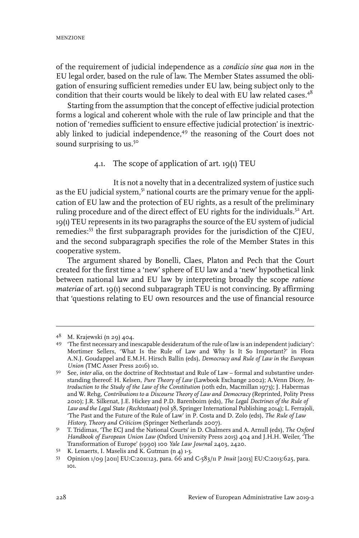of the requirement of judicial independence as a *condicio sine qua non* in the EU legal order, based on the rule of law. The Member States assumed the obligation of ensuring sufficient remedies under EU law, being subject only to the condition that their courts would be likely to deal with EU law related cases. $4^8$ 

Starting from the assumption that the concept of effective judicial protection forms a logical and coherent whole with the rule of law principle and that the notion of 'remedies sufficient to ensure effective judicial protection' is inextricably linked to judicial independence,<sup>49</sup> the reasoning of the Court does not sound surprising to us.<sup>50</sup>

## 4.1. The scope of application of art. 19(1) TEU

It is not a novelty that in a decentralized system of justice such as the EU judicial system,<sup>51</sup> national courts are the primary venue for the application of EU law and the protection of EU rights, as a result of the preliminary ruling procedure and of the direct effect of EU rights for the individuals.<sup>52</sup> Art. 19(1) TEU represents in its two paragraphs the source of the EU system of judicial remedies:<sup>53</sup> the first subparagraph provides for the jurisdiction of the CJEU, and the second subparagraph specifies the role of the Member States in this cooperative system.

The argument shared by Bonelli, Claes, Platon and Pech that the Court created for the first time a 'new' sphere of EU law and a 'new' hypothetical link between national law and EU law by interpreting broadly the scope *ratione materiae* of art. 19(1) second subparagraph TEU is not convincing. By affirming that 'questions relating to EU own resources and the use of financial resource

<sup>48</sup> M. Krajewski (n 29) 404.

<sup>&#</sup>x27;The first necessary and inescapable desideratum of the rule of law is an independent judiciary': 49 Mortimer Sellers, 'What Is the Rule of Law and Why Is It So Important?' in Flora A.N.J. Goudappel and E.M.H. Hirsch Ballin (eds), *Democracy and Rule of Law in the European Union* (TMC Asser Press 2016) 10.

<sup>&</sup>lt;sup>50</sup> See, *inter alia*, on the doctrine of Rechtsstaat and Rule of Law – formal and substantive understanding thereof: H. Kelsen, *Pure Theory of Law* (Lawbook Exchange 2002); A.Venn Dicey, *Introduction to the Study of the Law of the Constitution* (10th edn, Macmillan 1973); J. Habermas and W. Rehg, *Contributions to a Discourse Theory of Law and Democracy* (Reprinted, Polity Press 2010); J.R. Silkenat, J.E. Hickey and P.D. Barenboim (eds), *The Legal Doctrines of the Rule of Law and the Legal State (Rechtsstaat)* (vol 38, SpringerInternational Publishing 2014); L. Ferrajoli, 'The Past and the Future of the Rule of Law' in P. Costa and D. Zolo (eds), *The Rule of Law History, Theory and Criticism* (Springer Netherlands 2007).

T. Tridimas, 'The ECJ and the National Courts' in D. Chalmers and A. Arnull (eds), *The Oxford* 51 *Handbook of European Union Law* (Oxford University Press 2015) 404 and J.H.H. Weiler, 'The Transformation of Europe' (1990) 100 *Yale Law Journal* 2403, 2420.

 $52$  K. Lenaerts, I. Maselis and K. Gutman (n 4) 1-3.

Opinion 1/09 [2011] EU:C:2011:123, para. 66 and C-583/11 P *Inuit* [2013] EU:C:2013:625, para. 53 101.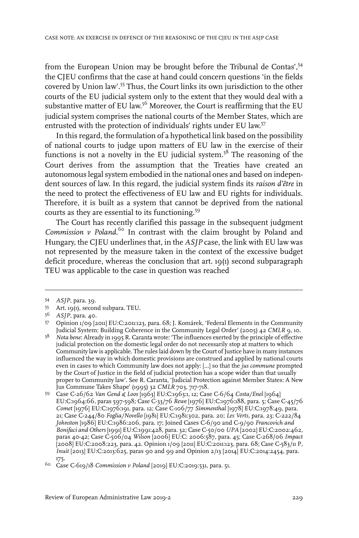from the European Union may be brought before the Tribunal de Contas', 54 the CJEU confirms that the case at hand could concern questions 'in the fields covered by Union law'.<sup>55</sup> Thus, the Court links its own jurisdiction to the other courts of the EU judicial system only to the extent that they would deal with a substantive matter of EU law. $^{56}$  Moreover, the Court is reaffirming that the EU judicial system comprises the national courts of the Member States, which are entrusted with the protection of individuals' rights under EU law. 57

In this regard, the formulation of a hypothetical link based on the possibility of national courts to judge upon matters of EU law in the exercise of their functions is not a novelty in the EU judicial system.<sup>58</sup> The reasoning of the Court derives from the assumption that the Treaties have created an autonomous legal system embodied in the national ones and based on independent sources of law. In this regard, the judicial system finds its *raison d'être* in the need to protect the effectiveness of EU law and EU rights for individuals. Therefore, it is built as a system that cannot be deprived from the national courts as they are essential to its functioning.<sup>59</sup>

The Court has recently clarified this passage in the subsequent judgment *Commission v Poland*. <sup>60</sup> In contrast with the claim brought by Poland and Hungary, the CJEU underlines that, in the *ASJP* case, the link with EU law was not represented by the measure taken in the context of the excessive budget deficit procedure, whereas the conclusion that art. 19(1) second subparagraph TEU was applicable to the case in question was reached

<sup>54</sup> *ASJP*, para. 39.

<sup>55</sup> Art. 19(1), second subpara. TEU.

<sup>&</sup>lt;sup>56</sup> *ASJP*, para. 40.

Opinion 1/09 [2011] EU:C:2011:123, para. 68; J. Komárek, 'Federal Elements in the Community 57 Judicial System: Building Coherence in the Community Legal Order' (2005) 42 *CMLR* 9, 10.

*Nota bene*: Already in 1995 R. Caranta wrote: 'The influences exerted by the principle of effective 58 judicial protection on the domestic legal order do not necessarily stop at matters to which Community law is applicable. The rules laid down by the Court of Justice have in many instances influenced the way in which domestic provisions are construed and applied by national courts even in cases to which Community law does not apply: […] so that the *jus commune* prompted by the Court of Justice in the field of judicial protection has a scope wider than that usually proper to Community law'. See R. Caranta, 'Judicial Protection against Member States: A New Jus Commune Takes Shape' (1995) 32 *CMLR* 703, 717-718.

Case C-26/62 *Van Gend & Loos* [1963] EU:C:1963:1, 12; Case C-6/64 *Costa/Enel* [1964] 59 EU:C:1964:66, paras 597-598; Case C-33/76 *Rewe* [1976] EU:C:1976:188, para. 5; Case C-45/76 *Comet* [1976] EU:C:1976:191, para. 12; Case C-106/77 *Simmenthal* [1978] EU:C:1978:49, para. 21; Case C-244/80 *Foglia/Novello* [1981] EU:C:1981:302, para. 20; *Les Verts,* para. 23; C-222/84 *Johnston* [1986] EU:C:1986:206, para. 17; Joined Cases C-6/90 and C-9/90 *Francovich and Bonifaci and Others* [1991] EU:C:1991:428, para. 32; Case C-50/00 *UPA* [2002] EU:C:2002:462, paras 40-42; Case C-506/04 *Wilson* [2006] EU:C: 2006:587, para. 45; Case C-268/06 *Impact* [2008] EU:C:2008:223, para. 42. Opinion 1/09 [2011] EU:C:2011:123, para. 68; Case C-583/11 P, *Inuit* [2013] EU:C:2013:625, paras 90 and 99 and Opinion 2/13 [2014] EU:C:2014:2454, para. 175.

<sup>&</sup>lt;sup>60</sup> Case C-619/18 *Commission v Poland* [2019] EU:C:2019:531, para. 51.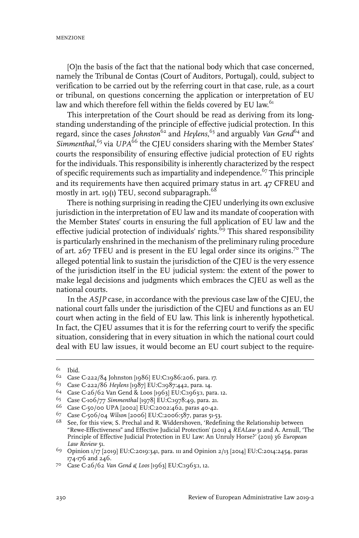[O]n the basis of the fact that the national body which that case concerned, namely the Tribunal de Contas (Court of Auditors, Portugal), could, subject to verification to be carried out by the referring court in that case, rule, as a court or tribunal, on questions concerning the application or interpretation of EU law and which therefore fell within the fields covered by EU law.<sup>61</sup>

This interpretation of the Court should be read as deriving from its longstanding understanding of the principle of effective judicial protection. In this regard, since the cases *Johnston*<sup>62</sup> and *Heylens*, <sup>63</sup> and arguably *Van Gend*<sup>64</sup> and Simmenthal,<sup>65</sup> via *UPA*<sup>66</sup> the CJEU considers sharing with the Member States' courts the responsibility of ensuring effective judicial protection of EU rights for the individuals. This responsibility is inherently characterized by the respect of specific requirements such as impartiality and independence.<sup>67</sup> This principle and its requirements have then acquired primary status in art. 47 CFREU and mostly in art. 19(1) TEU, second subparagraph. $^{68}$ 

There is nothing surprising in reading the CJEU underlying its own exclusive jurisdiction in the interpretation of EU law and its mandate of cooperation with the Member States' courts in ensuring the full application of EU law and the effective judicial protection of individuals' rights.<sup>69</sup> This shared responsibility is particularly enshrined in the mechanism of the preliminary ruling procedure of art. 267 TFEU and is present in the EU legal order since its origins.<sup>70</sup> The alleged potential link to sustain the jurisdiction of the CJEU is the very essence of the jurisdiction itself in the EU judicial system: the extent of the power to make legal decisions and judgments which embraces the CJEU as well as the national courts.

In the *ASJP* case, in accordance with the previous case law of the CJEU, the national court falls under the jurisdiction of the CJEU and functions as an EU court when acting in the field of EU law. This link is inherently hypothetical. In fact, the CJEU assumes that it is for the referring court to verify the specific situation, considering that in every situation in which the national court could deal with EU law issues, it would become an EU court subject to the require-

 $61$  Ibid.

<sup>&</sup>lt;sup>62</sup> Case C-222/84 Johnston [1986] EU:C:1986:206, para. 17.

<sup>&</sup>lt;sup>63</sup> Case C-222/86 *Heylens* [1987] EU:C:1987:442, para. 14.

<sup>&</sup>lt;sup>64</sup> Case C-26/62 Van Gend & Loos [1963] EU:C:1963:1, para. 12.

<sup>&</sup>lt;sup>65</sup> Case C-106/77 *Simmenthal* [1978] EU:C:1978:49, para. 21.

<sup>66</sup> Case C-50/00 UPA [2002] EU:C:2002:462, paras 40-42.

Case C-506/04 *Wilson* [2006] EU:C:2006:587, paras 51-53. <sup>67</sup>

 $68$  See, for this view, S. Prechal and R. Widdershoven, 'Redefining the Relationship between "Rewe-Effectiveness" and Effective Judicial Protection' (2011) 4 *REALaw* 31 and A. Arnull, 'The Principle of Effective Judicial Protection in EU Law: An Unruly Horse?' (2011) 36 *European Law Review* 51.

<sup>&</sup>lt;sup>69</sup> Opinion 1/17 [2019] EU:C:2019:341, para. 111 and Opinion 2/13 [2014] EU:C:2014:2454, paras 174-176 and 246.

Case C-26/62 *Van Gend & Loos* [1963] EU:C:1963:1, 12. <sup>70</sup>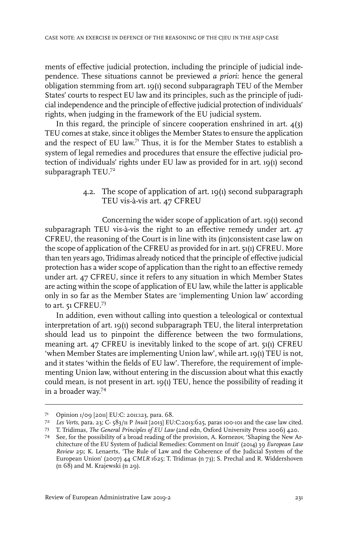ments of effective judicial protection, including the principle of judicial independence. These situations cannot be previewed *a priori*: hence the general obligation stemming from art. 19(1) second subparagraph TEU of the Member States' courts to respect EU law and its principles, such as the principle of judicial independence and the principle of effective judicial protection of individuals' rights, when judging in the framework of the EU judicial system.

In this regard, the principle of sincere cooperation enshrined in art.  $4(3)$ TEU comes at stake, since it obliges the Member States to ensure the application and the respect of EU law. $71$  Thus, it is for the Member States to establish a system of legal remedies and procedures that ensure the effective judicial protection of individuals' rights under EU law as provided for in art. 19(1) second subparagraph TEU.<sup>72</sup>

> 4.2. The scope of application of art. 19(1) second subparagraph TEU vis-à-vis art. 47 CFREU

Concerning the wider scope of application of art. 19(1) second subparagraph TEU vis-à-vis the right to an effective remedy under art. 47 CFREU, the reasoning of the Court is in line with its (in)consistent case law on the scope of application of the CFREU as provided for in art. 51(1) CFREU. More than ten years ago, Tridimas already noticed that the principle of effective judicial protection has a wider scope of application than the right to an effective remedy under art. 47 CFREU, since it refers to any situation in which Member States are acting within the scope of application of EU law, while the latter is applicable only in so far as the Member States are 'implementing Union law' according to art. 51 CFREU.<sup>73</sup>

In addition, even without calling into question a teleological or contextual interpretation of art. 19(1) second subparagraph TEU, the literal interpretation should lead us to pinpoint the difference between the two formulations, meaning art. 47 CFREU is inevitably linked to the scope of art. 51(1) CFREU 'when Member States are implementing Union law', while art. 19(1) TEU is not, and it states 'within the fields of EU law'. Therefore, the requirement of implementing Union law, without entering in the discussion about what this exactly could mean, is not present in art. 19(1) TEU, hence the possibility of reading it in a broader way. 74

<sup>71</sup> Opinion 1/09 [2011] EU:C: 2011:123, para. 68.

*Les Verts,* para. 23; C- 583/11 P *Inuit* [2013] EU:C:2013:625, paras 100-101 and the case law cited. <sup>72</sup>

T. Tridimas, *The General Principles of EU Law* (2nd edn, Oxford University Press 2006) 420. <sup>73</sup>

See, for the possibility of a broad reading of the provision, A. Kornezov, 'Shaping the New Ar-74 chitecture of the EU System of Judicial Remedies: Comment on Inuit' (2014) 39 *European Law Review* 251; K. Lenaerts, 'The Rule of Law and the Coherence of the Judicial System of the European Union' (2007) 44 *CMLR* 1625; T. Tridimas (n 73); S. Prechal and R. Widdershoven (n 68) and M. Krajewski (n 29).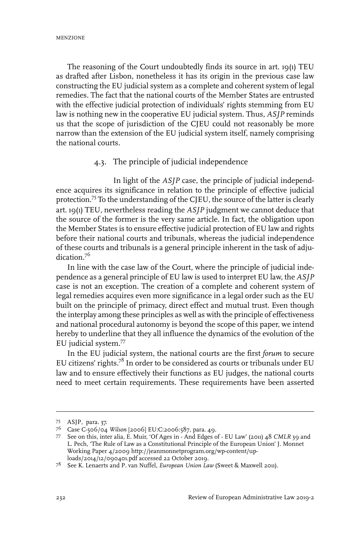The reasoning of the Court undoubtedly finds its source in art. 19(1) TEU as drafted after Lisbon, nonetheless it has its origin in the previous case law constructing the EU judicial system as a complete and coherent system of legal remedies. The fact that the national courts of the Member States are entrusted with the effective judicial protection of individuals' rights stemming from EU law is nothing new in the cooperative EU judicial system. Thus, *ASJP* reminds us that the scope of jurisdiction of the CJEU could not reasonably be more narrow than the extension of the EU judicial system itself, namely comprising the national courts.

### 4.3. The principle of judicial independence

In light of the *ASJP* case, the principle of judicial independence acquires its significance in relation to the principle of effective judicial protection.<sup>75</sup> To the understanding of the CJEU, the source of the latter is clearly art. 19(1) TEU, nevertheless reading the *ASJP* judgment we cannot deduce that the source of the former is the very same article. In fact, the obligation upon the Member States is to ensure effective judicial protection of EU law and rights before their national courts and tribunals, whereas the judicial independence of these courts and tribunals is a general principle inherent in the task of adjudication<sup>76</sup>

In line with the case law of the Court, where the principle of judicial independence as a general principle of EU law is used to interpret EU law, the *ASJP* case is not an exception. The creation of a complete and coherent system of legal remedies acquires even more significance in a legal order such as the EU built on the principle of primacy, direct effect and mutual trust. Even though the interplay among these principles as well as with the principle of effectiveness and national procedural autonomy is beyond the scope of this paper, we intend hereby to underline that they all influence the dynamics of the evolution of the EU judicial system.<sup>77</sup>

In the EU judicial system, the national courts are the first *forum* to secure EU citizens' rights.<sup>78</sup> In order to be considered as courts or tribunals under EU law and to ensure effectively their functions as EU judges, the national courts need to meet certain requirements. These requirements have been asserted

ASJP, para. 37. 75

Case C-506/04 *Wilson* [2006] EU:C:2006:587, para. 49. <sup>76</sup>

<sup>77</sup> See on this, inter alia, E. Muir, 'Of Ages in - And Edges of - EU Law' (2011) 48 *CMLR* 39 and L. Pech, 'The Rule of Law as a Constitutional Principle of the European Union' J. Monnet Working Paper 4/2009 http://jeanmonnetprogram.org/wp-content/uploads/2014/12/090401.pdf accessed 22 October 2019.

See K. Lenaerts and P. van Nuffel, *European Union Law* (Sweet & Maxwell 2011). <sup>78</sup>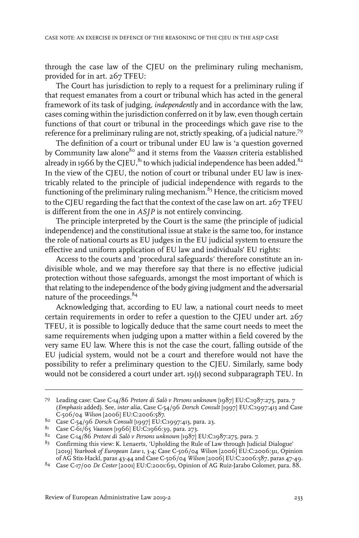through the case law of the CJEU on the preliminary ruling mechanism, provided for in art. 267 TFEU:

The Court has jurisdiction to reply to a request for a preliminary ruling if that request emanates from a court or tribunal which has acted in the general framework of its task of judging, *independently* and in accordance with the law, cases coming within the jurisdiction conferred on it by law, even though certain functions of that court or tribunal in the proceedings which gave rise to the reference for a preliminary ruling are not, strictly speaking, of a judicial nature.<sup>79</sup>

The definition of a court or tribunal under EU law is 'a question governed by Community law alone<sup>80</sup> and it stems from the *Vaassen* criteria established already in 1966 by the CIEU.<sup>81</sup> to which judicial independence has been added.<sup>82</sup> In the view of the CJEU, the notion of court or tribunal under EU law is inextricably related to the principle of judicial independence with regards to the functioning of the preliminary ruling mechanism.<sup>83</sup> Hence, the criticism moved to the CJEU regarding the fact that the context of the case law on art. 267 TFEU is different from the one in *ASJP* is not entirely convincing.

The principle interpreted by the Court is the same (the principle of judicial independence) and the constitutional issue at stake is the same too, for instance the role of national courts as EU judges in the EU judicial system to ensure the effective and uniform application of EU law and individuals' EU rights:

Access to the courts and 'procedural safeguards' therefore constitute an indivisible whole, and we may therefore say that there is no effective judicial protection without those safeguards, amongst the most important of which is that relating to the independence of the body giving judgment and the adversarial nature of the proceedings.<sup>84</sup>

Acknowledging that, according to EU law, a national court needs to meet certain requirements in order to refer a question to the CJEU under art. 267 TFEU, it is possible to logically deduce that the same court needs to meet the same requirements when judging upon a matter within a field covered by the very same EU law. Where this is not the case the court, falling outside of the EU judicial system, would not be a court and therefore would not have the possibility to refer a preliminary question to the CJEU. Similarly, same body would not be considered a court under art. 19(1) second subparagraph TEU. In

Leading case: Case C-14/86 *Pretore di Salò v Persons unknown* [1987] EU:C:1987:275, para. 7 79 (*Emphasis* added). See, *inter alia,* Case C-54/96 *Dorsch Consult* [1997] EU:C:1997:413 and Case C-506/04 *Wilson* [2006] EU:C:2006:587.

Case C-54/96 *Dorsch Consult* [1997] EU:C:1997:413, para. 23. <sup>80</sup>

<sup>81</sup> Case C-61/65 *Vaassen* [1966] EU:C:1966:39, para. 273.

Case C-14/86 *Pretore di Salò v Persons unknown* [1987] EU:C:1987:275, para. 7. 82

<sup>&</sup>lt;sup>83</sup> Confirming this view: K. Lenaerts, 'Upholding the Rule of Law through Judicial Dialogue' [2019] *Yearbook of European Law* 1, 3-4; Case C-506/04 *Wilson* [2006] EU:C:2006:311, Opinion of AG Stix-Hackl, paras 43-44 and Case C-506/04 *Wilson* [2006] EU:C:2006:587, paras 47-49.

<sup>84</sup> Case C-17/00 *De Coster* [2001] EU:C:2001:651, Opinion of AG Ruiz-Jarabo Colomer, para. 88.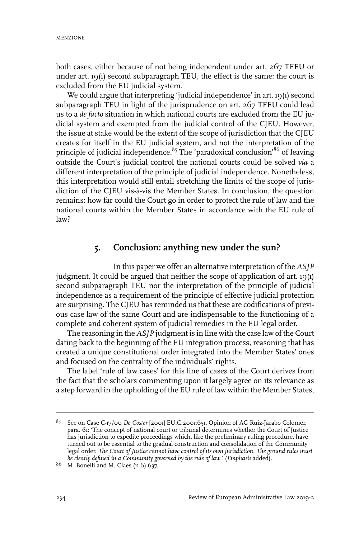both cases, either because of not being independent under art. 267 TFEU or under art. 19(1) second subparagraph TEU, the effect is the same: the court is excluded from the EU judicial system.

We could argue that interpreting 'judicial independence' in art. 19(1) second subparagraph TEU in light of the jurisprudence on art. 267 TFEU could lead us to a *de facto* situation in which national courts are excluded from the EU judicial system and exempted from the judicial control of the CJEU. However, the issue at stake would be the extent of the scope of jurisdiction that the CJEU creates for itself in the EU judicial system, and not the interpretation of the principle of judicial independence.<sup>85</sup> The 'paradoxical conclusion'<sup>86</sup> of leaving outside the Court's judicial control the national courts could be solved *via* a different interpretation of the principle of judicial independence. Nonetheless, this interpretation would still entail stretching the limits of the scope of jurisdiction of the CJEU vis-à-vis the Member States. In conclusion, the question remains: how far could the Court go in order to protect the rule of law and the national courts within the Member States in accordance with the EU rule of law?

## **5. Conclusion: anything new under the sun?**

In this paper we offer an alternative interpretation of the *ASJP* judgment. It could be argued that neither the scope of application of art. 19(1) second subparagraph TEU nor the interpretation of the principle of judicial independence as a requirement of the principle of effective judicial protection are surprising. The CJEU has reminded us that these are codifications of previous case law of the same Court and are indispensable to the functioning of a complete and coherent system of judicial remedies in the EU legal order.

The reasoning in the *ASJP* judgment is in line with the case law of the Court dating back to the beginning of the EU integration process, reasoning that has created a unique constitutional order integrated into the Member States' ones and focused on the centrality of the individuals' rights.

The label 'rule of law cases' for this line of cases of the Court derives from the fact that the scholars commenting upon it largely agree on its relevance as a step forward in the upholding of the EU rule of law within the Member States,

See on Case C-17/00 *De Coster* [2001] EU:C:2001:651, Opinion of AG Ruiz-Jarabo Colomer, 85 para. 61: 'The concept of national court or tribunal determines whether the Court of Justice has jurisdiction to expedite proceedings which, like the preliminary ruling procedure, have turned out to be essential to the gradual construction and consolidation of the Community legal order. *The Court of Justice cannot have control of its own jurisdiction. The ground rules must be clearly defined in a Community governed by the rule of law*.' (*Emphasis* added).

<sup>&</sup>lt;sup>86</sup> M. Bonelli and M. Claes (n 6) 637.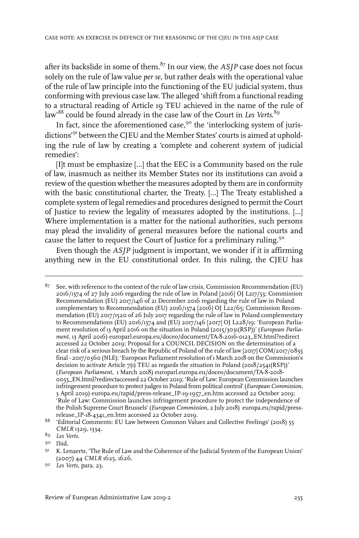after its backslide in some of them.<sup>87</sup> In our view, the *ASIP* case does not focus solely on the rule of law value *per se*, but rather deals with the operational value of the rule of law principle into the functioning of the EU judicial system, thus conforming with previous case law. The alleged 'shift from a functional reading to a structural reading of Article 19 TEU achieved in the name of the rule of law' <sup>88</sup> could be found already in the case law of the Court in *Les Verts*. 89

In fact, since the aforementioned case,  $9^{\circ}$  the 'interlocking system of jurisdictions' <sup>91</sup> between the CJEU and the Member States' courts is aimed at upholding the rule of law by creating a 'complete and coherent system of judicial remedies':

[I]t must be emphasize […] that the EEC is a Community based on the rule of law, inasmuch as neither its Member States nor its institutions can avoid a review of the question whether the measures adopted by them are in conformity with the basic constitutional charter, the Treaty. […] The Treaty established a complete system of legal remedies and procedures designed to permit the Court of Justice to review the legality of measures adopted by the institutions. […] Where implementation is a matter for the national authorities, such persons may plead the invalidity of general measures before the national courts and cause the latter to request the Court of Justice for a preliminary ruling.<sup>92</sup>

Even though the *ASJP* judgment is important, we wonder if it is affirming anything new in the EU constitutional order. In this ruling, the CJEU has

 $87$  See, with reference to the context of the rule of law crisis, Commission Recommendation (EU) 2016/1374 of 27 July 2016 regarding the rule of law in Poland [2016] OJ L217/53; Commission Recommendation (EU) 2017/146 of 21 December 2016 regarding the rule of law in Poland complementary to Recommendation (EU) 2016/1374 [2016] OJ L22/65; Commission Recommendation (EU) 2017/1520 of 26 July 2017 regarding the rule of law in Poland complementary to Recommendations (EU) 2016/1374 and (EU) 2017/146 [2017] OJ L228/19; 'European Parliament resolution of 13 April 2016 on the situation in Poland (2015/3031(RSP))' (*European Parliament,* 13 April 2016) europarl.europa.eu/doceo/document/TA-8-2016-0123\_EN.html?redirect accessed 22 October 2019; Proposal for a COUNCIL DECISION on the determination of a clear risk of a serious breach by the Republic of Poland of the rule of law [2017] COM/2017/0835 final - 2017/0360 (NLE); 'European Parliament resolution of 1 March 2018 on the Commission's decision to activate Article  $7(1)$  TEU as regards the situation in Poland (2018/2541(RSP))' (*European Parliament,* 1 March 2018) europarl.europa.eu/doceo/document/TA-8-2018- 0055\_EN.html?redirectaccessed 22 October 2019; 'Rule of Law: European Commission launches infringement procedure to protect judges in Poland from political control' (*European Commission,* 3 April 2019) europa.eu/rapid/press-release\_IP-19-1957\_en.htm accessed 22 October 2019; 'Rule of Law: Commission launches infringement procedure to protect the independence of the Polish Supreme Court Brussels' (*European Commission,* 2 July 2018) europa.eu/rapid/pressrelease\_IP-18-4341\_en.htm accessed 22 October 2019.

<sup>&</sup>lt;sup>88</sup> 'Editorial Comments: EU Law between Common Values and Collective Feelings' (2018) 55 *CMLR* 1329, 1334.

*Les Verts*. 89

<sup>9&</sup>lt;sup>o</sup> Ibid.

<sup>91</sup> K. Lenaerts, 'The Rule of Law and the Coherence of the Judicial System of the European Union' (2007) 44 *CMLR* 1625, 1626.

<sup>9&</sup>lt;sup>2</sup> Les Verts, para. 23.